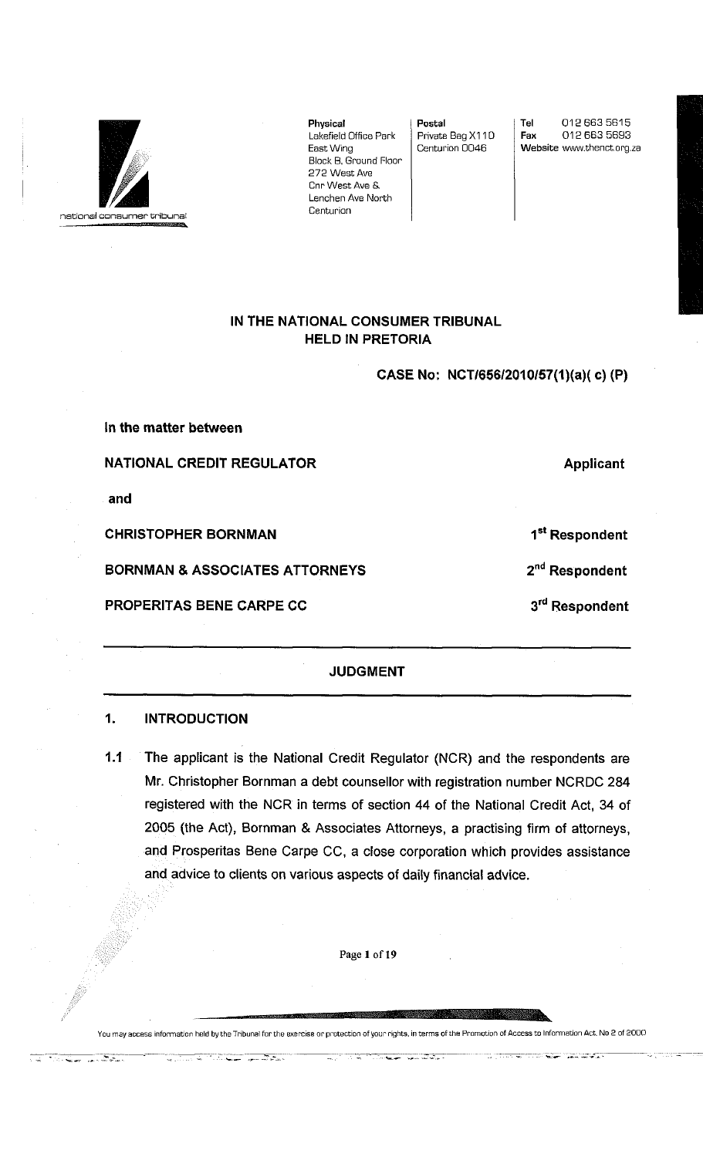

**Physical**  Lakefield Office Park East Wing Block B, Ground Floor 272 West Ave Cnr West Ave S. Lenchen Ave North **Centurion** 

**Postal**  Private Bag X110 Centurion 0D4B

**Tel** 012 663 5615<br>**Fax** 012 663 5693 **Fax** 012 663 5693 Website www.thenct.org.za

## **IN THE NATIONAL CONSUMER TRIBUNAL HELD IN PRETORIA**

**CASE No: NCT/656/2010/57(1)(a)( c) (P)** 

**In the matter between** 

**NATIONAL CREDIT REGULATOR Applicant Applicant** 

**and** 

**CHRISTOPHER BORNMAN 1 <sup>s</sup> <sup>t</sup>**

**BORNMAN & ASSOCIATES ATTORNEYS** 

and the state of the state of the state of the state of the state of the state of the state of the state of the

<del>the good</del>stay

**PROPERITAS BENE CARPE CC** 

### **JUDGMENT**

### **1. INTRODUCTION**

**1.1** The applicant is the National Credit Regulator (NCR) and the respondents are Mr. Christopher Bornman a debt counsellor with registration number NCRDC 284 registered with the NCR in terms of section 44 of the National Credit Act, 34 of 2005 (the Act), Bornman & Associates Attorneys, a practising firm of attorneys, and Prosperitas Bene Carpe CC, a close corporation which provides assistance and advice to clients on various aspects of daily financial advice.

Page **1** of**19** 

You may access information held by the Tribunal for the exercise or protection of your rights, in terms of the Promotion of Access to Information Act, No 2 of 2000

—<br>mari

a wasan kalendar wasan kata

1<sup>st</sup> Respondent

2<sup>nd</sup> Respondent

 **Respondent** 

an Maria Andrew Alexandro<br>1960 - Maria Alexander, amerikansk medicin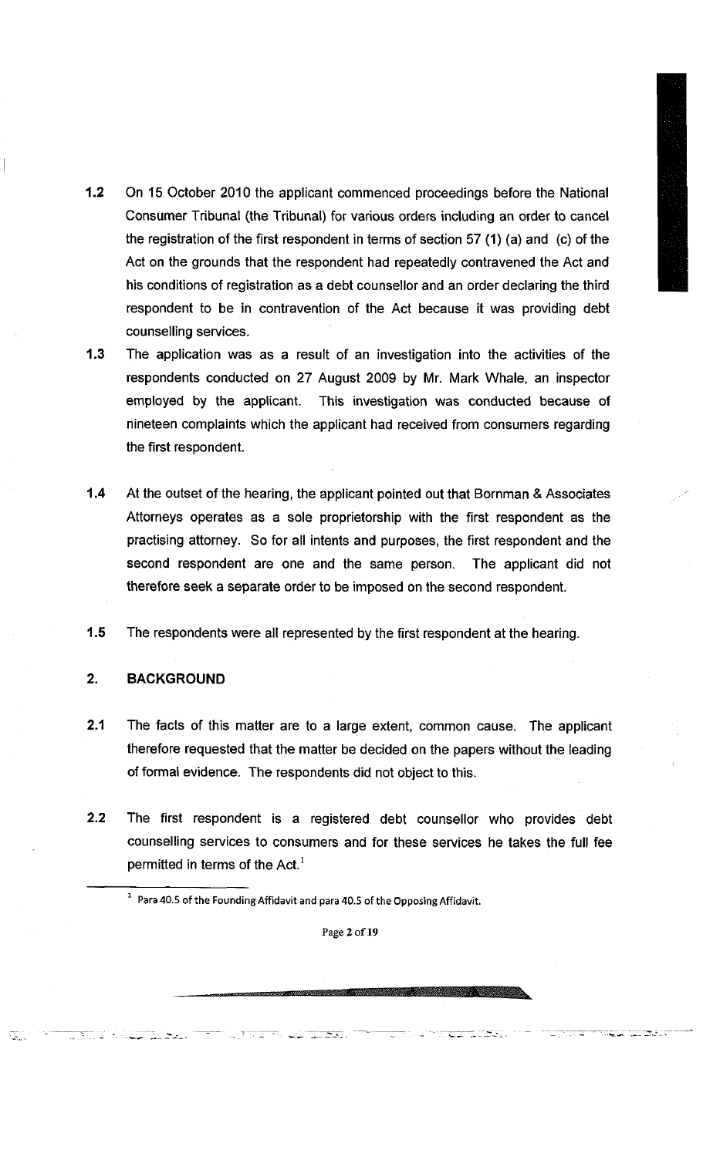- 
- **1.2** On 15 October 2010 the applicant commenced proceedings before the National Consumer Tribunal (the Tribunal) for various orders including an order to cancel the registration of the first respondent in terms of section 57 (1) (a) and (c) of the Act on the grounds that the respondent had repeatedly contravened the Act and his conditions of registration as a debt counsellor and an order declaring the third respondent to be in contravention of the Act because it was providing debt counselling services.
- **1.3** The application was as a result of an investigation into the activities of the respondents conducted on 27 August 2009 by Mr. Mark Whale, an inspector employed by the applicant. This investigation was conducted because of nineteen complaints which the applicant had received from consumers regarding the first respondent.
- **1.4** At the outset of the hearing, the applicant pointed out that Bornman & Associates Attorneys operates as a sole proprietorship with the first respondent as the practising attorney. So for all intents and purposes, the first respondent and the second respondent are one and the same person. The applicant did not therefore seek a separate order to be imposed on the second respondent.
- **1.5** The respondents were all represented by the first respondent at the hearing.

## **2. BACKGROUND**

المعظمة اللينة

- **2.1** The facts of this matter are to a large extent, common cause. The applicant therefore requested that the matter be decided on the papers without the leading of formal evidence. The respondents did not object to this.
- **2.2** The first respondent is a registered debt counsellor who provides debt counselling services to consumers and for these services he takes the full fee permitted in terms of the  $Act.^{1}$ 
	- **1 Para 40.5 of the Founding Affidavit and para 40.5 of the Opposing Affidavit.**

 $\sim$   $\sim$   $\sim$   $\sim$   $\sim$   $\sim$   $\sim$ 

**Page 2 of19** 

<u>Santa Caracteria</u>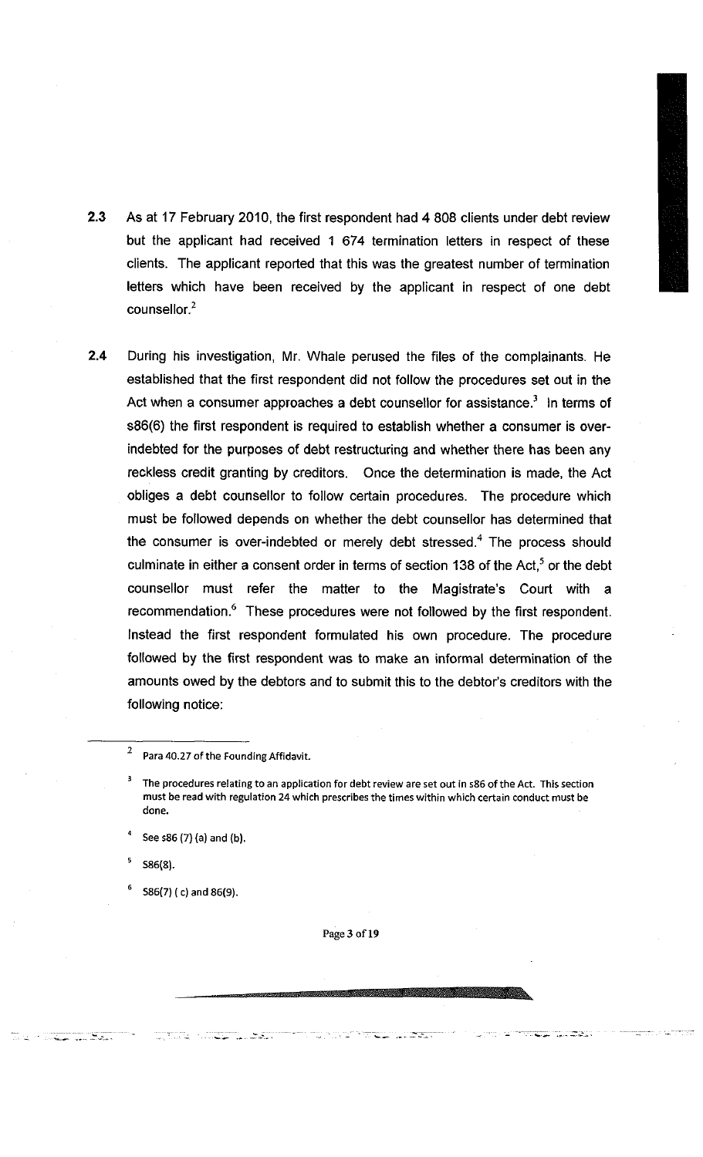- 2.3 As at 17 February 2010, the first respondent had 4 808 clients under debt review but the applicant had received 1 674 termination letters in respect of these clients. The applicant reported that this was the greatest number of termination letters which have been received by the applicant in respect of one debt counsellor.<sup>2</sup>
- 2.4 During his investigation, Mr. Whale perused the files of the complainants. He established that the first respondent did not follow the procedures set out in the Act when a consumer approaches a debt counsellor for assistance.' In terms of s86(6) the first respondent is required to establish whether a consumer is overindebted for the purposes of debt restructuring and whether there has been any reckless credit granting by creditors. Once the determination is made, the Act obliges a debt counsellor to follow certain procedures. The procedure which must be followed depends on whether the debt counsellor has determined that the consumer is over-indebted or merely debt stressed.<sup>4</sup> The process should culminate in either a consent order in terms of section 138 of the Act, $^3$  or the debt counsellor must refer the matter to the Magistrate's Court with a recommendation. These procedures were not followed by the first respondent. Instead the first respondent formulated his own procedure. The procedure followed by the first respondent was to make an informal determination of the amounts owed by the debtors and to submit this to the debtor's creditors with the following notice:

**5 S86(8).** 

**6**

**Service Committee** 

 **S86(7) ( c) and 86(9).** 

an martin di sebagai kecamatan dan bagian dan bagian dan bagian dan bagian dan bagian dalam bagian dan bagian

**Page 3 of19** 

 $\sim$   $\sim$   $\sim$   $\sim$   $\sim$   $\sim$ 

**<sup>2</sup> Para 40.27 of the Founding Affidavit.** 

**<sup>3</sup> The procedures relating to an application for debt review are set out in** 586 **of the Act. This section must be read with regulation 24 which prescribes the times within which certain conduct must be done.** 

**<sup>4</sup>** See s86 (7) (a) and (b).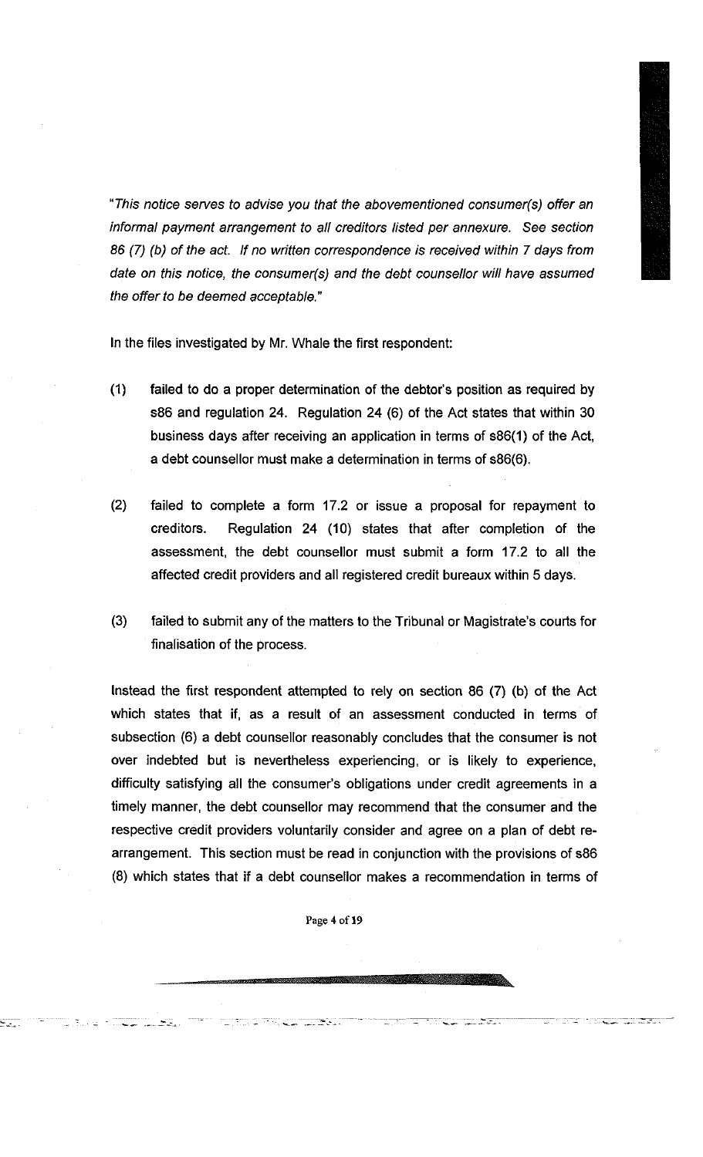

*"This notice serves to advise you that the abovementioned consumer(s) offer an informal payment arrangement to all creditors listed per annexure. See section 86 (7) (b) of the act. If no written correspondence is received within 7 days from date on this notice, the consumer(s) and the debt counsellor will have assumed the offer to be deemed acceptable."* 

In the files investigated by Mr. Whale the first respondent:

- (1) failed to do a proper determination of the debtor's position as required by s86 and regulation 24. Regulation 24 (6) of the Act states that within 30 business days after receiving an application in terms of s86(1) of the Act, a debt counsellor must make a determination in terms of s86(6).
- (2) failed to complete a form 17.2 or issue a proposal for repayment to creditors. Regulation 24 (10) states that after completion of the assessment, the debt counsellor must submit a form 17.2 to all the affected credit providers and all registered credit bureaux within 5 days.
- (3) failed to submit any of the matters to the Tribunal or Magistrate's courts for finalisation of the process.

Instead the first respondent attempted to rely on section 86 (7) (b) of the Act which states that if, as a result of an assessment conducted in terms of subsection (6) a debt counsellor reasonably concludes that the consumer is not over indebted but is nevertheless experiencing, or is likely to experience, difficulty satisfying all the consumer's obligations under credit agreements in a timely manner, the debt counsellor may recommend that the consumer and the respective credit providers voluntarily consider and agree on a plan of debt rearrangement. This section must be read in conjunction with the provisions of s86 (8) which states that if a debt counsellor makes a recommendation in terms of

**Page 4 of 19** 

talan di Serbia.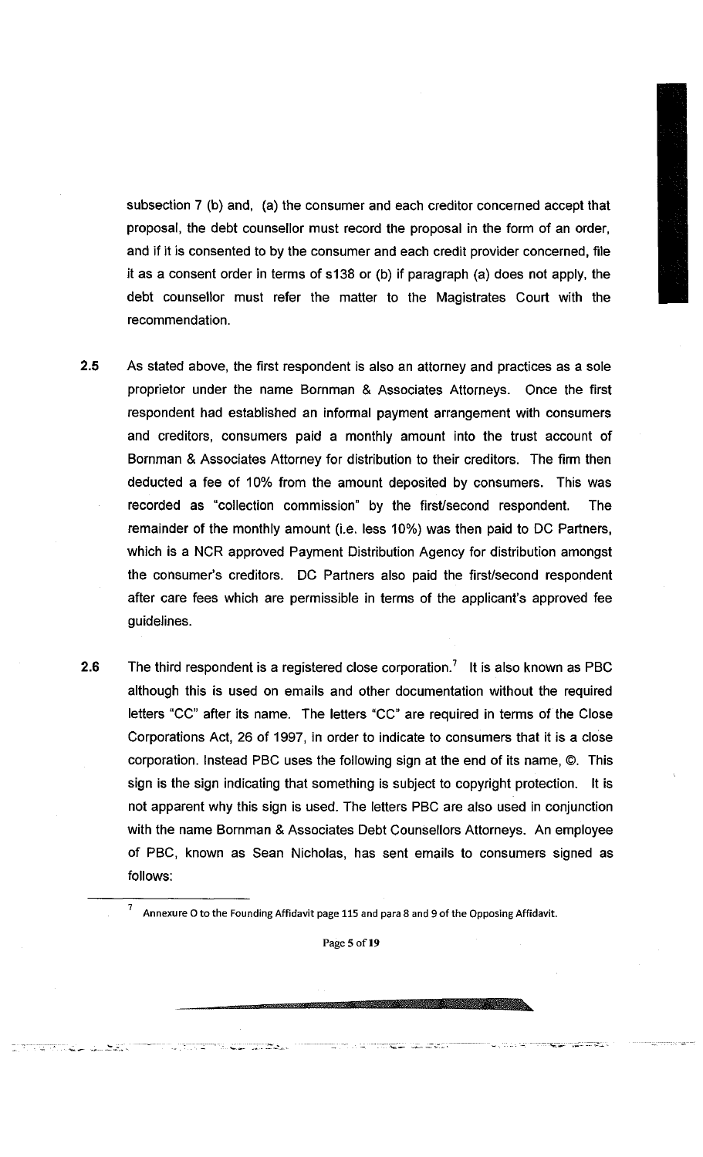subsection 7 (b) and, (a) the consumer and each creditor concerned accept that proposal, the debt counsellor must record the proposal in the form of an order, and if it is consented to by the consumer and each credit provider concerned, file it as a consent order in terms of s138 or (b) if paragraph (a) does not apply, the debt counsellor must refer the matter to the Magistrates Court with the recommendation.

- **2.5** As stated above, the first respondent is also an attorney and practices as a sole proprietor under the name Bornman & Associates Attorneys. Once the first respondent had established an informal payment arrangement with consumers and creditors, consumers paid a monthly amount into the trust account of Bornman & Associates Attorney for distribution to their creditors. The firm then deducted a fee of 10% from the amount deposited by consumers. This was recorded as "collection commission" by the first/second respondent. The remainder of the monthly amount (i.e. less 10%) was then paid to DC Partners, which is a NCR approved Payment Distribution Agency for distribution amongst the consumer's creditors. DC Partners also paid the first/second respondent after care fees which are permissible in terms of the applicant's approved fee guidelines.
- **2.6** The third respondent is a registered close corporation.<sup>7</sup> It is also known as PBC although this is used on emails and other documentation without the required letters "CC" after its name. The letters "CC" are required in terms of the Close Corporations Act, 26 of 1997, in order to indicate to consumers that it is a close corporation. Instead PBC uses the following sign at the end of its name, ©. This sign is the sign indicating that something is subject to copyright protection. It is not apparent why this sign is used. The letters PBC are also used in conjunction with the name Bornman & Associates Debt Counsellors Attorneys. An employee of PBC, known as Sean Nicholas, has sent emails to consumers signed as follows:
	- **Annexure O to the Founding Affidavit page 115 and para 8 and 9 of the Opposing Affidavit.**  7

**Page 5 of19** 

ಕರಾಜಿ ಮಾಹಿತ್ಯ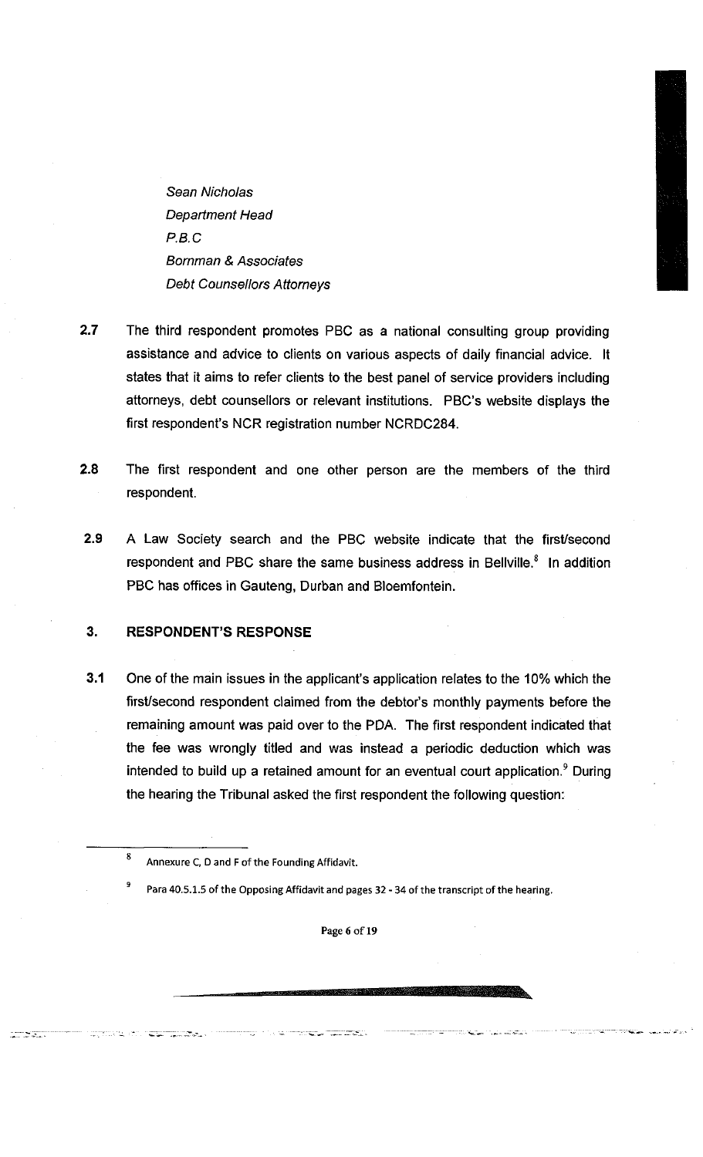*Sean Nicholas Department Head P.B.C Bornman & Associates Debt Counsellors Attorneys* 

- **2.7** The third respondent promotes PBC as a national consulting group providing assistance and advice to clients on various aspects of daily financial advice. It states that it aims to refer clients to the best panel of service providers including attorneys, debt counsellors or relevant institutions. PBC's website displays the first respondent's NCR registration number NCRDC284.
- **2.8** The first respondent and one other person are the members of the third respondent.
- **2.9** A Law Society search and the PBC website indicate that the first/second respondent and PBC share the same business address in Bellville.° In addition PBC has offices in Gauteng, Durban and Bloemfontein.

## **3.** RESPONDENT'S RESPONSE

**3.1** One of the main issues in the applicant's application relates to the 10% which the first/second respondent claimed from the debtor's monthly payments before the remaining amount was paid over to the PDA. The first respondent indicated that the fee was wrongly titled and was instead a periodic deduction which was intended to build up a retained amount for an eventual court application.'' During the hearing the Tribunal asked the first respondent the following question:

mark, on t<del>he typical</del>s.

**9 Para 40.5.1.5 of the Opposing Affidavit and pages 32 - 34 of the transcript of the hearing.** 

**Page 6 of 19** 

 $\boldsymbol{8}$ **Annexure C, D and F of the Founding Affidavit.**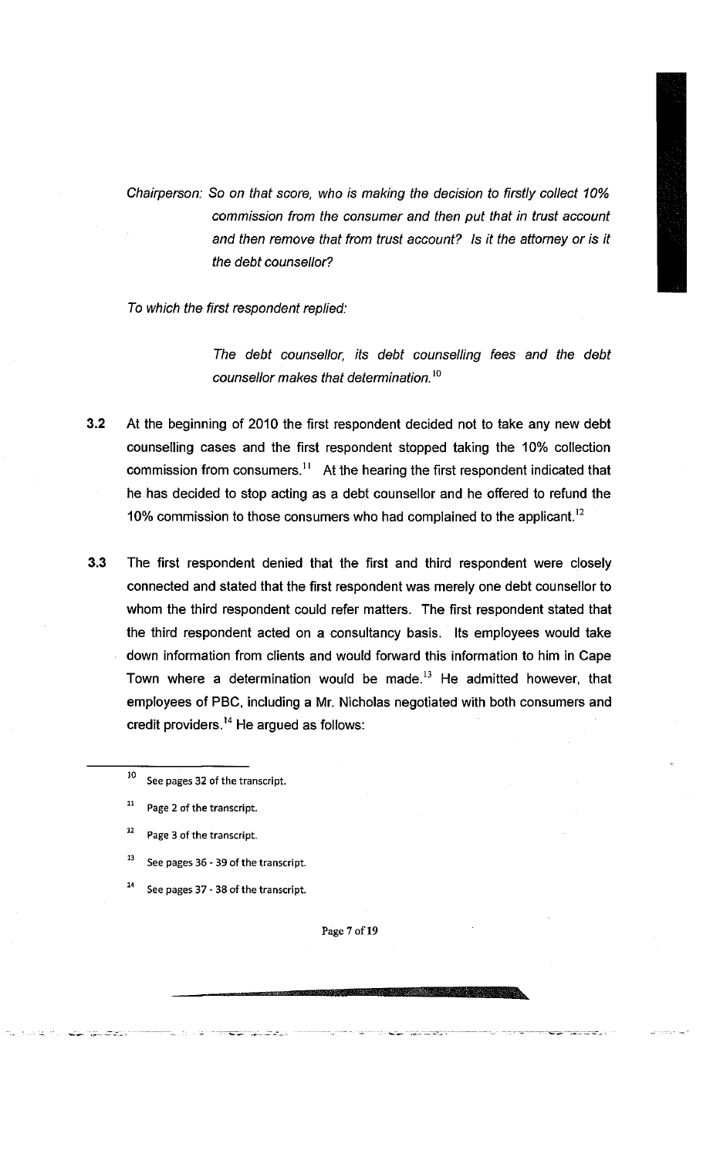*Chairperson: So on that score, who is making the decision to firstly collect 10% commission from the consumer and then put that in trust account*  and then remove that from trust account? Is it the attorney or is it *the debt counsellor?* 

*To which the first respondent replied:* 

*The debt counsellor, its debt counselling fees and the debt counsellor makes that determination.<sup>10</sup>*

- **3.2** At the beginning of 2010 the first respondent decided not to take any new debt counselling cases and the first respondent stopped taking the 10% collection commission from consumers.<sup>11</sup> At the hearing the first respondent indicated that he has decided to stop acting as a debt counsellor and he offered to refund the 10% commission to those consumers who had complained to the applicant.<sup>12</sup>
- **3.3** The first respondent denied that the first and third respondent were closely connected and stated that the first respondent was merely one debt counsellor to whom the third respondent could refer matters. The first respondent stated that the third respondent acted on a consultancy basis. Its employees would take down information from clients and would forward this information to him in Cape Town where a determination would be made. $13$  He admitted however, that employees of PBC, including a Mr. Nicholas negotiated with both consumers and credit providers. $14$  He argued as follows:
	- 10 **See pages 32 of the transcript.**
	- **1 1 Page 2 of the transcript.**
	- **1 2 Page 3 of the transcript.**
	- **1 3 See pages 36 - 39 of the transcript.**
	- $\blacksquare$  **See pages 37 - 38 of the transcript.**

**Page 7 of19**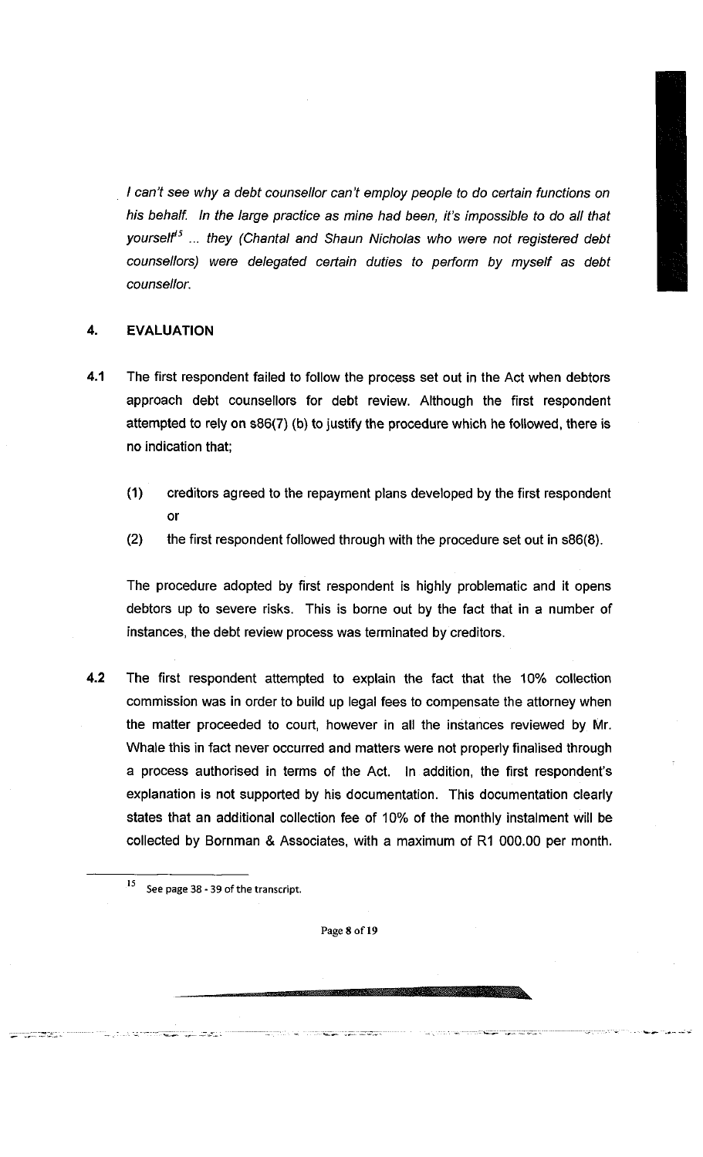*/ can't see why a debt counsellor can't employ people to do certain functions on his behalf. In the large practice as mine had been, it's impossible to do all that yourself<sup>15</sup> ... they (Chantal and Shaun Nicholas who were not registered debt counsellors) were delegated certain duties to perform by myself as debt counsellor.* 

# 4. EVALUATION

- 4.1 The first respondent failed to follow the process set out in the Act when debtors approach debt counsellors for debt review. Although the first respondent attempted to rely on s86(7) (b) to justify the procedure which he followed, there is no indication that;
	- (1) creditors agreed to the repayment plans developed by the first respondent or
	- (2) the first respondent followed through with the procedure set out in s86(8).

The procedure adopted by first respondent is highly problematic and it opens debtors up to severe risks. This is borne out by the fact that in a number of instances, the debt review process was terminated by creditors.

- 4**.2** The first respondent attempted to explain the fact that the 10% collection commission was in order to build up legal fees to compensate the attorney when the matter proceeded to court, however in all the instances reviewed by Mr. Whale this in fact never occurred and matters were not properly finalised through a process authorised in terms of the Act. In addition, the first respondent's explanation is not supported by his documentation. This documentation clearly states that an additional collection fee of 10% of the monthly instalment will be collected by Bornman & Associates, with a maximum of R1 000.00 per month.
	- **5 See page 38 - 39 of the transcript.**

<u>Samon San San Sa</u>

an an an Aire an a

**Page 8 of 19**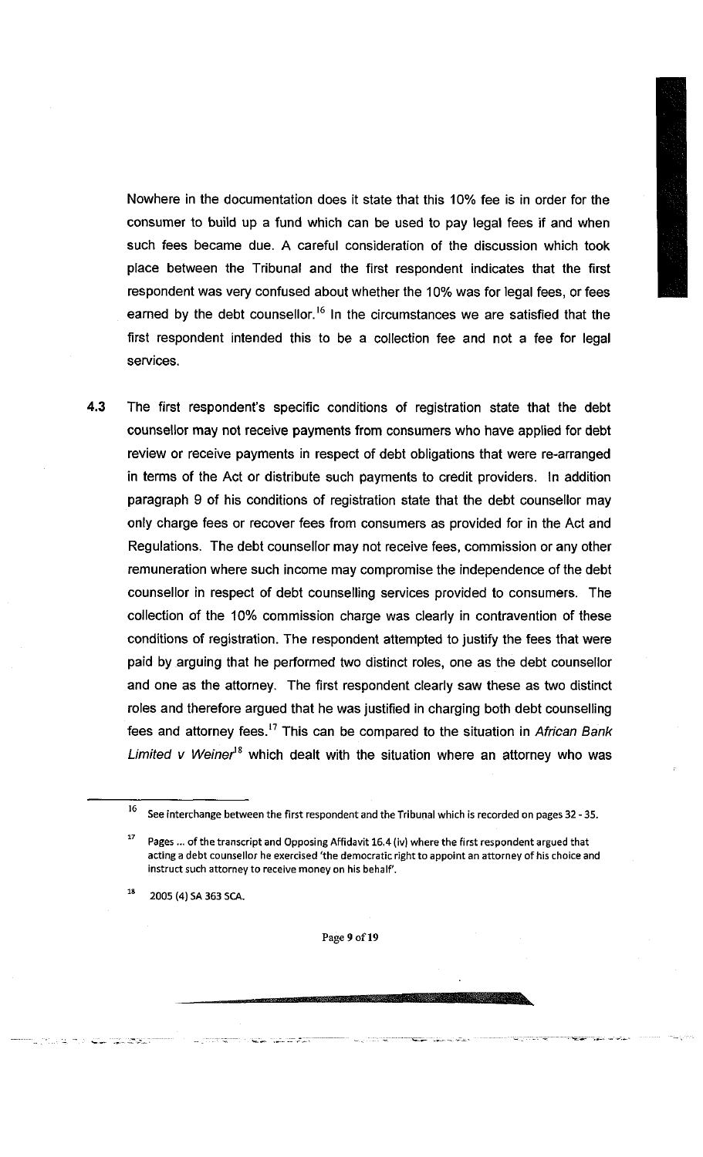Nowhere in the documentation does it state that this 10% fee is in order for the consumer to build up a fund which can be used to pay legal fees if and when such fees became due. A careful consideration of the discussion which took place between the Tribunal and the first respondent indicates that the first respondent was very confused about whether the 10% was for legal fees, or fees earned by the debt counsellor.<sup>16</sup> In the circumstances we are satisfied that the first respondent intended this to be a collection fee and not a fee for legal services.

4.3 The first respondent's specific conditions of registration state that the debt counsellor may not receive payments from consumers who have applied for debt review or receive payments in respect of debt obligations that were re-arranged in terms of the Act or distribute such payments to credit providers. In addition paragraph 9 of his conditions of registration state that the debt counsellor may only charge fees or recover fees from consumers as provided for in the Act and Regulations. The debt counsellor may not receive fees, commission or any other remuneration where such income may compromise the independence of the debt counsellor in respect of debt counselling services provided to consumers. The collection of the 10% commission charge was clearly in contravention of these conditions of registration. The respondent attempted to justify the fees that were paid by arguing that he performed two distinct roles, one as the debt counsellor and one as the attorney. The first respondent clearly saw these as two distinct roles and therefore argued that he was justified in charging both debt counselling fees and attorney fees.<sup>17</sup> This can be compared to the situation in *African Bank* Limited v Weiner<sup>18</sup> which dealt with the situation where an attorney who was

**1 8 2005 (4) SA 363 SCA.** 

**Page 9 of19** 

<sup>16</sup> **See interchange between the first respondent and the Tribunal which is recorded on pages 32 - 35.** 

**<sup>1</sup> 7 Pages... of the transcript and Opposing Affidavit 16.4 (iv) where the first respondent argued that acting a debt counsellor he exercised 'the democratic right to appoint an attorney of his choice and instruct such attorney to receive money on his behalf.**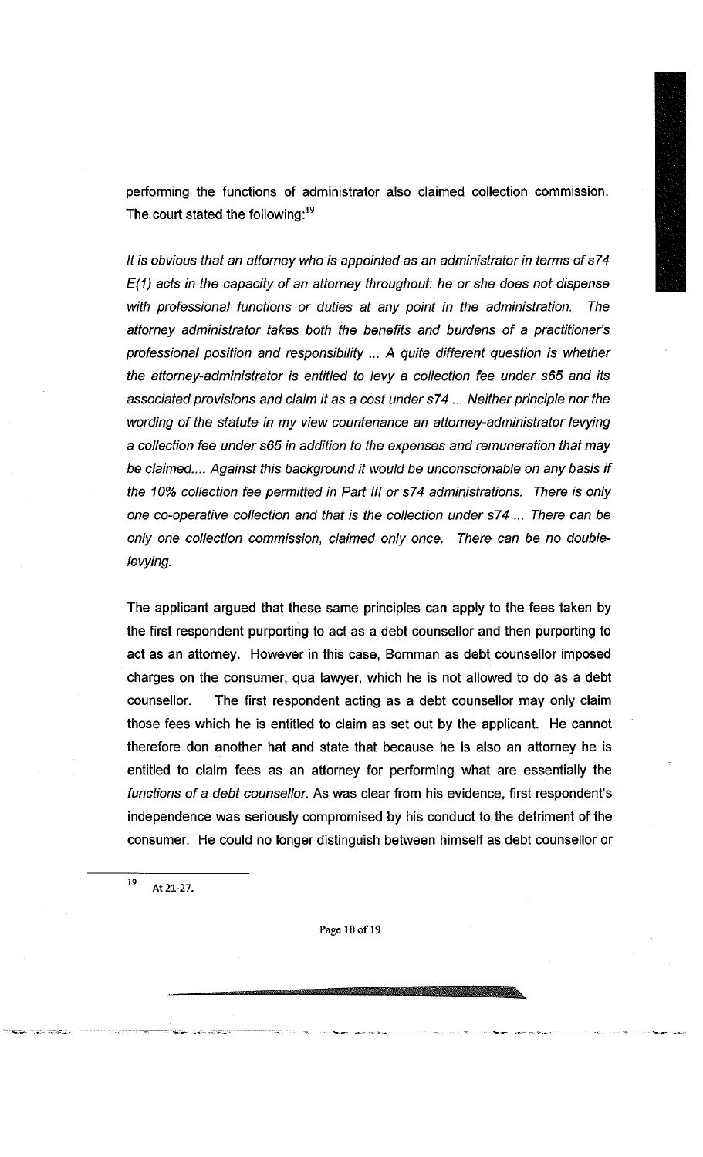performing the functions of administrator also claimed collection commission. The court stated the following: $19$ 

*It is obvious that an attorney who is appointed as an administrator in terms ofs74 E(1) acts in the capacity of an attorney throughout: he or she does not dispense with professional functions or duties at any point in the administration. The attorney administrator takes both the benefits and burdens of a practitioner's*  professional position and responsibility ... A quite different question is whether *the attorney-administrator is entitled to levy a collection fee under s65 and its associated provisions and claim it as a cost under s74 ... Neither principle nor the wording of the statute in my view countenance an attorney-administrator levying a collection fee under s65 in addition to the expenses and remuneration that may be claimed.... Against this background it would be unconscionable on any basis if the 10% collection fee permitted in Part III or s74 administrations. There is only one co-operative collection and that is the collection under s74 ... There can be only one collection commission, claimed only once. There can be no doublelevying.* 

The applicant argued that these same principles can apply to the fees taken by the first respondent purporting to act as a debt counsellor and then purporting to act as an attorney. However in this case, Bornman as debt counsellor imposed charges on the consumer, qua lawyer, which he is not allowed to do as a debt counsellor. The first respondent acting as a debt counsellor may only claim those fees which he is entitled to claim as set out by the applicant. He cannot therefore don another hat and state that because he is also an attorney he is entitled to claim fees as an attorney for performing what are essentially the *functions of a debt counsellor.* As was clear from his evidence, first respondent's independence was seriously compromised by his conduct to the detriment of the consumer. He could no longer distinguish between himself as debt counsellor or

19 **At 21-27.** 

**Page** 10 **of** 19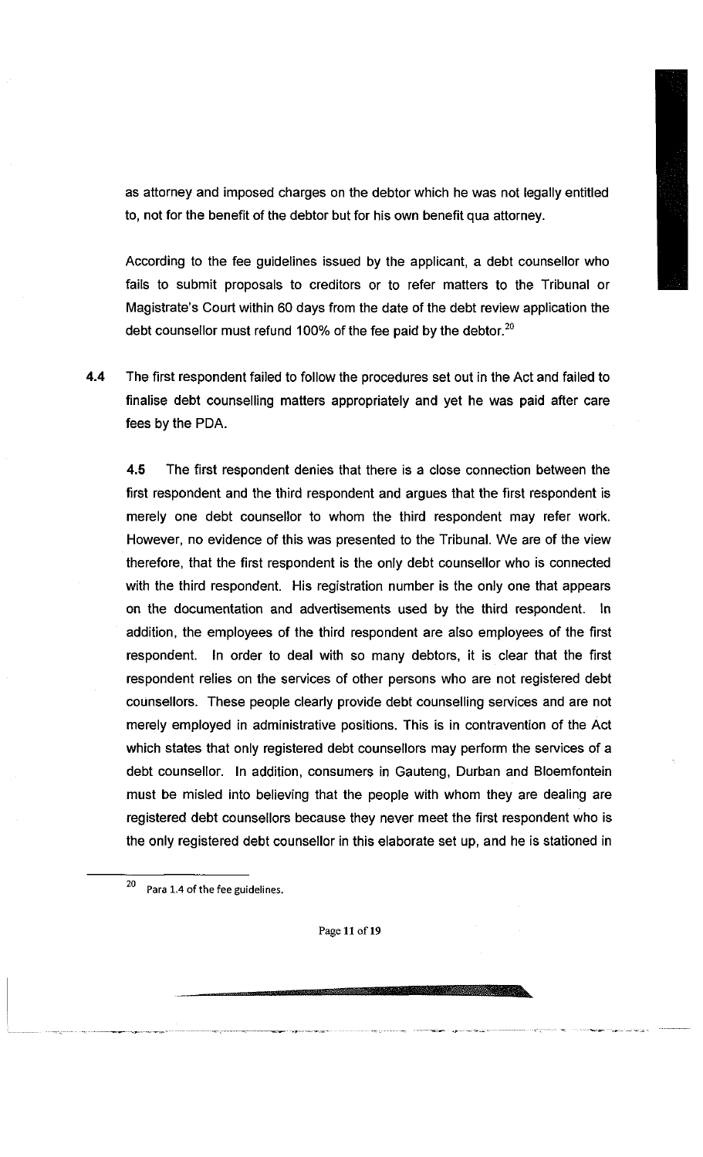as attorney and imposed charges on the debtor which he was not legally entitled to, not for the benefit of the debtor but for his own benefit qua attorney.

According to the fee guidelines issued by the applicant, a debt counsellor who fails to submit proposals to creditors or to refer matters to the Tribunal or Magistrate's Court within 60 days from the date of the debt review application the debt counsellor must refund 100% of the fee paid by the debtor. $20$ 

**4.4** The first respondent failed to follow the procedures set out in the Act and failed to finalise debt counselling matters appropriately and yet he was paid after care fees by the PDA.

**4.5** The first respondent denies that there is a close connection between the first respondent and the third respondent and argues that the first respondent is merely one debt counsellor to whom the third respondent may refer work. However, no evidence of this was presented to the Tribunal. We are of the view therefore, that the first respondent is the only debt counsellor who is connected with the third respondent. His registration number is the only one that appears on the documentation and advertisements used by the third respondent. In addition, the employees of the third respondent are also employees of the first respondent. In order to deal with so many debtors, it is clear that the first respondent relies on the services of other persons who are not registered debt counsellors. These people clearly provide debt counselling services and are not merely employed in administrative positions. This is in contravention of the Act which states that only registered debt counsellors may perform the services of a debt counsellor. In addition, consumers in Gauteng, Durban and Bloemfontein must be misled into believing that the people with whom they are dealing are registered debt counsellors because they never meet the first respondent who is the only registered debt counsellor in this elaborate set up, and he is stationed in

20 **Para 1.4 of the fee guidelines.** 

**Page 11 of 19**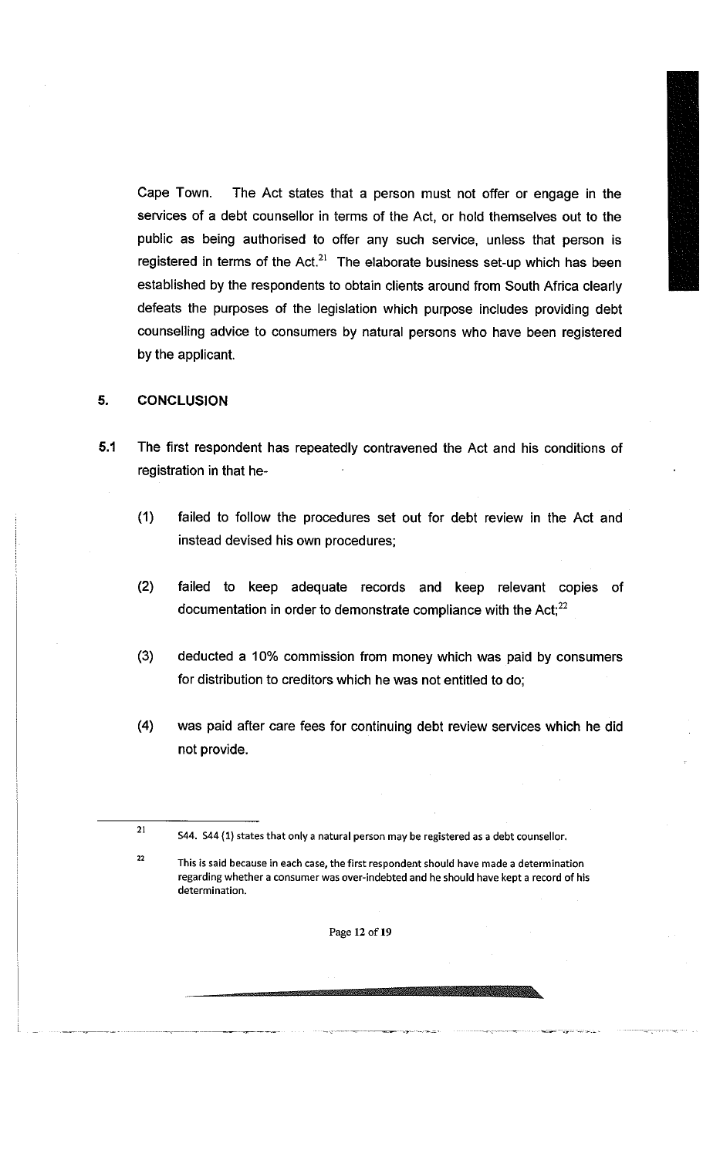Cape Town. The Act states that a person must not offer or engage in the services of a debt counsellor in terms of the Act, or hold themselves out to the public as being authorised to offer any such service, unless that person is registered in terms of the Act.<sup>21</sup> The elaborate business set-up which has been established by the respondents to obtain clients around from South Africa clearly defeats the purposes of the legislation which purpose includes providing debt counselling advice to consumers by natural persons who have been registered by the applicant.

#### 5. CONCLUSION

- 5.1 The first respondent has repeatedly contravened the Act and his conditions of registration in that he-
	- (1) failed to follow the procedures set out for debt review in the Act and instead devised his own procedures;
	- (2) failed to keep adequate records and keep relevant copies of documentation in order to demonstrate compliance with the Act; $^{22}$
	- (3) deducted a 10% commission from money which was paid by consumers for distribution to creditors which he was not entitled to do;
	- **(4)** was paid after care fees for continuing debt review services which he did not provide.

 $\bf{22}$ 

**Page 12 of 19** 

<sup>21</sup> 

**S44. S44 (1) states that only a natural person may be registered as a debt counsellor.** 

**This ts said because in each case, the first respondent should have made a determination regarding whether a consumer was over-indebted and he should have kept a record of his determination.**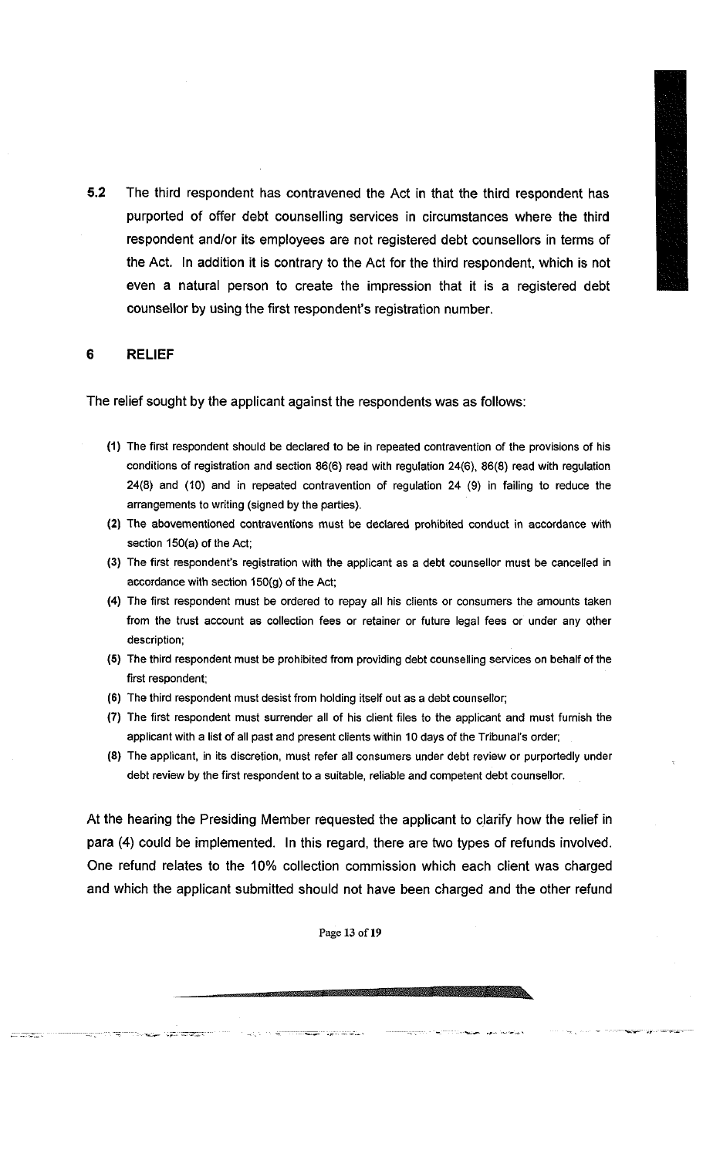**5.2** The third respondent has contravened the Act in that the third respondent has purported of offer debt counselling services in circumstances where the third respondent and/or its employees are not registered debt counsellors in terms of the Act. In addition it is contrary to the Act for the third respondent, which is not even a natural person to create the impression that it is a registered debt counsellor by using the first respondent's registration number.

#### **6 RELIEF**

د سال ۱۳۵۳ میلیون<br>۱۳۵۰ میلیون

The relief sought by the applicant against the respondents was as follows:

- **(1) The first respondent should be declared to be in repeated contravention of the provisions of his conditions of registration and section 86(6) read with regulation 24(6), 86(8) read with regulation 24(8) and (10) and in repeated contravention of regulation 24 (9) in failing to reduce the arrangements to writing (signed by the parties).**
- **(2) The abovementioned contraventions must be declared prohibited conduct in accordance with section 150(a) of the Act;**
- **(3) The first respondent's registration with the applicant as a debt counsellor must be cancelled in accordance with section 150(g) of the Act;**
- **(4) The first respondent must be ordered to repay ail his clients or consumers the amounts taken from the trust account as collection fees or retainer or future legal fees or under any other description;**
- **(5) The third respondent must be prohibited from providing debt counselling services on behalf of the first respondent;**
- **(6) The third respondent must desist from holding itself out as a debt counsellor;**
- (7) **The first respondent must surrender all of his client files to the applicant and must furnish the applicant with a list of all past and present clients within 10 days of the Tribunal's order;**
- **(8) The applicant, in its discretion, must refer all consumers under debt review or purportedly under debt review by the first respondent to a suitable, reliable and competent debt counsellor.**

At the hearing the Presiding Member requested the applicant to clarify how the relief in para (4) could be implemented. In this regard, there are two types of refunds involved. One refund relates to the 10% collection commission which each client was charged and which the applicant submitted should not have been charged and the other refund

**Page** 13 **of 19**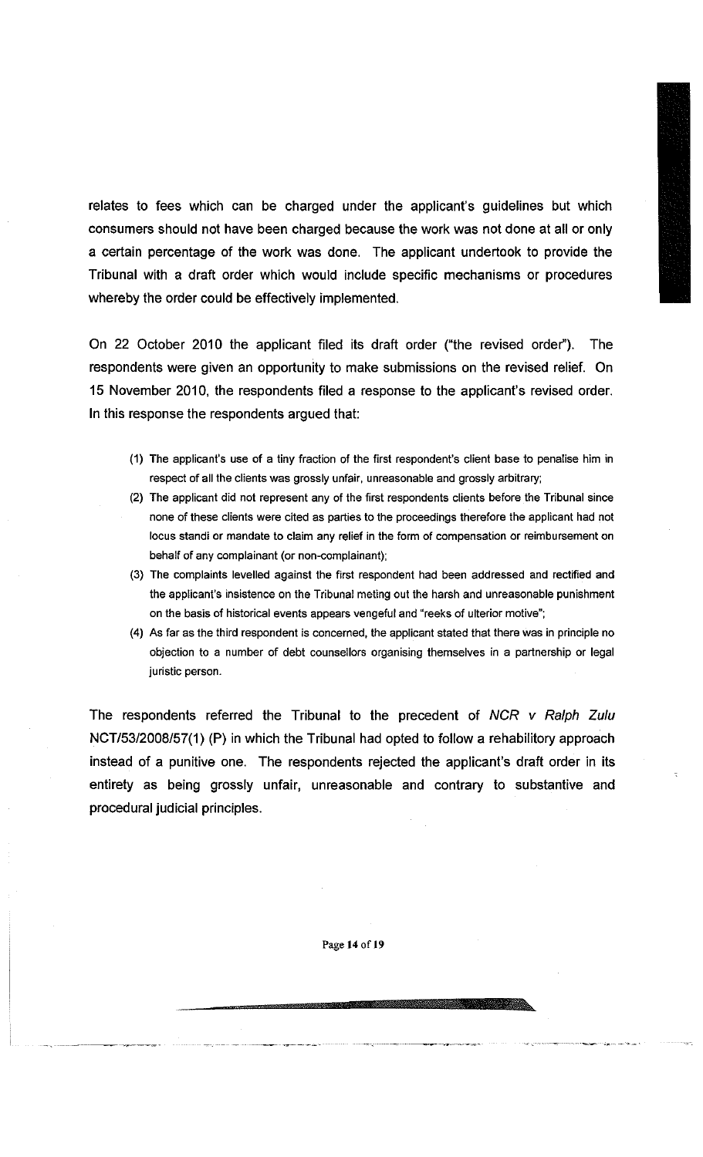relates to fees which can be charged under the applicant's guidelines but which consumers should not have been charged because the work was not done at all or only a certain percentage of the work was done. The applicant undertook to provide the Tribunal with a draft order which would include specific mechanisms or procedures whereby the order could be effectively implemented.

On 22 October 2010 the applicant filed its draft order ("the revised order"). The respondents were given an opportunity to make submissions on the revised relief. On 15 November 2010, the respondents filed a response to the applicant's revised order. In this response the respondents argued that:

- (1) The applicant's use of a tiny fraction of the first respondent's client base to penalise him in respect of all the clients was grossly unfair, unreasonable and grossly arbitrary;
- (2) The applicant did not represent any of the first respondents clients before the Tribunal since none of these clients were cited as parties to the proceedings therefore the applicant had not locus standi or mandate to claim any relief in the form of compensation or reimbursement on behalf of any complainant (or non-complainant);
- (3) The complaints levelled against the first respondent had been addressed and rectified and the applicant's insistence on the Tribunal meting out the harsh and unreasonable punishment on the basis of historical events appears vengeful and "reeks of ulterior motive";
- (4) As far as the third respondent is concerned, the applicant stated that there was in principle no objection to a number of debt counsellors organising themselves in a partnership or legal juristic person.

The respondents referred the Tribunal to the precedent of *NCR v Ralph Zulu*  NCT/53/2008/57(1) (P) in which the Tribunal had opted to follow a rehabilitory approach instead of a punitive one. The respondents rejected the applicant's draft order in its entirety as being grossly unfair, unreasonable and contrary to substantive and procedural judicial principles.

**Page 14 of 19**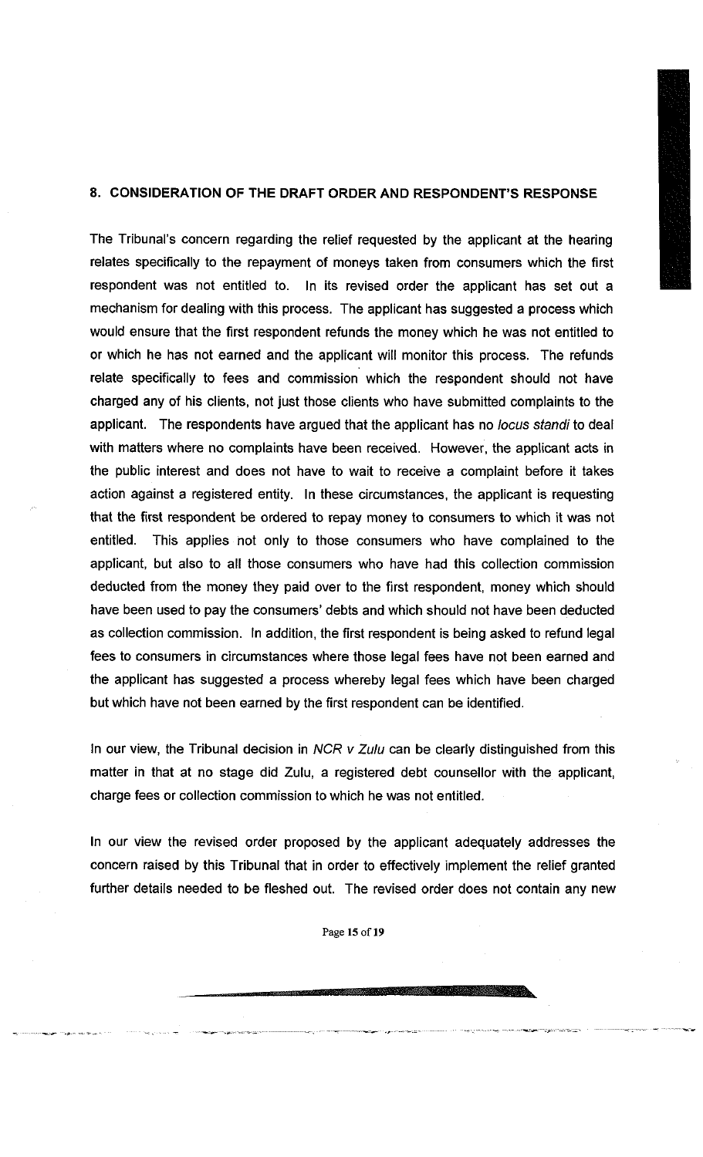## **8.** CONSIDERATION OF THE DRAFT ORDER AND RESPONDENT'S RESPONSE

The Tribunal's concern regarding the relief requested by the applicant at the hearing relates specifically to the repayment of moneys taken from consumers which the first respondent was not entitled to. In its revised order the applicant has set out a mechanism for dealing with this process. The applicant has suggested a process which would ensure that the first respondent refunds the money which he was not entitled to or which he has not earned and the applicant will monitor this process. The refunds relate specifically to fees and commission which the respondent should not have charged any of his clients, not just those clients who have submitted complaints to the applicant. The respondents have argued that the applicant has no *locus standi to* deal with matters where no complaints have been received. However, the applicant acts in the public interest and does not have to wait to receive a complaint before it takes action against a registered entity. In these circumstances, the applicant is requesting that the first respondent be ordered to repay money to consumers to which it was not entitled. This applies not only to those consumers who have complained to the applicant, but also to all those consumers who have had this collection commission deducted from the money they paid over to the first respondent, money which should have been used to pay the consumers' debts and which should not have been deducted as collection commission. In addition, the first respondent is being asked to refund legal fees to consumers in circumstances where those legal fees have not been earned and the applicant has suggested a process whereby legal fees which have been charged but which have not been earned by the first respondent can be identified.

In our view, the Tribunal decision in *NCR v Zulu* can be clearly distinguished from this matter in that at no stage did Zulu, a registered debt counsellor with the applicant, charge fees or collection commission to which he was not entitled.

In our view the revised order proposed by the applicant adequately addresses the concern raised by this Tribunal that in order to effectively implement the relief granted further details needed to be fleshed out. The revised order does not contain any new

**Page 15 of 19**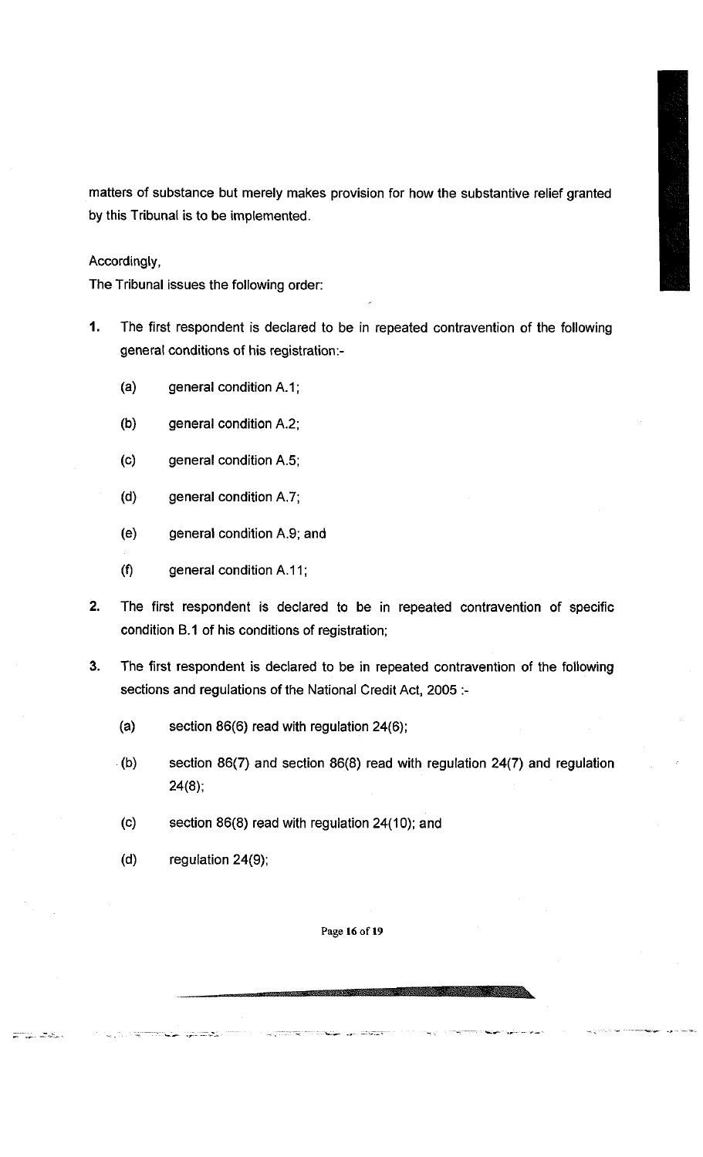matters of substance but merely makes provision for how the substantive relief granted by this Tribunal is to be implemented.

Accordingly,

The Tribunal issues the following order:

- **1.** The first respondent is declared to be in repeated contravention of the following general conditions of his registration:-
	- (a) general condition A.1;
	- (b) general condition A.2;
	- (c) general condition A.5;
	- (d) general condition A.7;
	- (e) general condition A.9; and
	- $(f)$  general condition A.11;
- 2. The first respondent is declared to be in repeated contravention of specific condition B.1 of his conditions of registration;
- 3. The first respondent is declared to be in repeated contravention of the following sections and regulations of the National Credit Act, 2005 :-
	- (a) section 86(6) read with regulation 24(6);
	- (b) section 86(7) and section 86(8) read with regulation 24(7) and regulation  $24(8)$ ;
	- (c) section 86(8) read with regulation 24(10); and
	- (d) regulation  $24(9)$ ;

.<br>متح<del>مدین ع</del>ند

<u>ಯು ದಿನು</u>

**Page 16 of 19**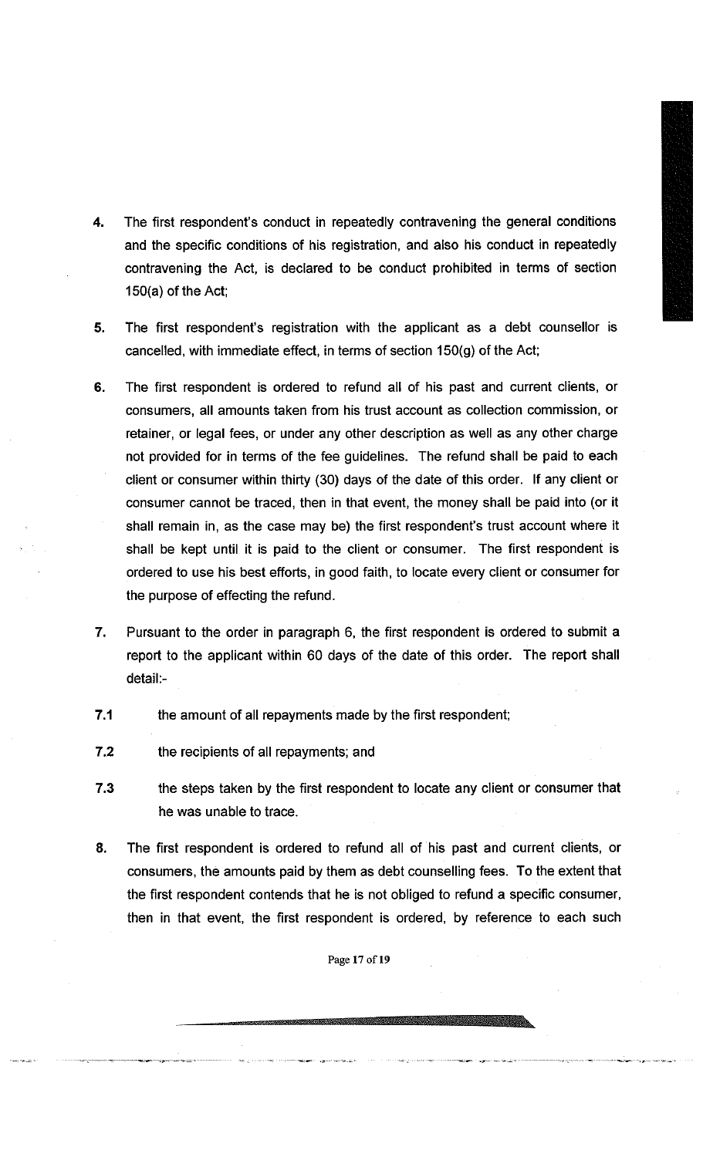- **4.** The first respondent's conduct in repeatedly contravening the general conditions and the specific conditions of his registration, and also his conduct in repeatedly contravening the Act, is declared to be conduct prohibited in terms of section 150(a) of the Act;
- 5. The first respondent's registration with the applicant as a debt counsellor is cancelled, with immediate effect, in terms of section 150(g) of the Act;
- **6.** The first respondent is ordered to refund all of his past and current clients, or consumers, all amounts taken from his trust account as collection commission, or retainer, or legal fees, or under any other description as well as any other charge not provided for in terms of the fee guidelines. The refund shall be paid to each client or consumer within thirty (30) days of the date of this order. If any client or consumer cannot be traced, then in that event, the money shall be paid into (or it shall remain in, as the case may be) the first respondent's trust account where it shall be kept until it is paid to the client or consumer. The first respondent is ordered to use his best efforts, in good faith, to locate every client or consumer for the purpose of effecting the refund.
- **7.** Pursuant to the order in paragraph 6, the first respondent is ordered to submit a report to the applicant within 60 days of the date of this order. The report shall detail:-
- **7.1** the amount of all repayments made by the first respondent;
- **7.2** the recipients of all repayments; and
- **7**.3 the steps taken by the first respondent to locate any client or consumer that he was unable to trace.
- 8. The first respondent is ordered to refund all of his past and current clients, or consumers, the amounts paid by them as debt counselling fees. To the extent that the first respondent contends that he is not obliged to refund a specific consumer, then in that event, the first respondent is ordered, by reference to each such

**Page 17 of 19**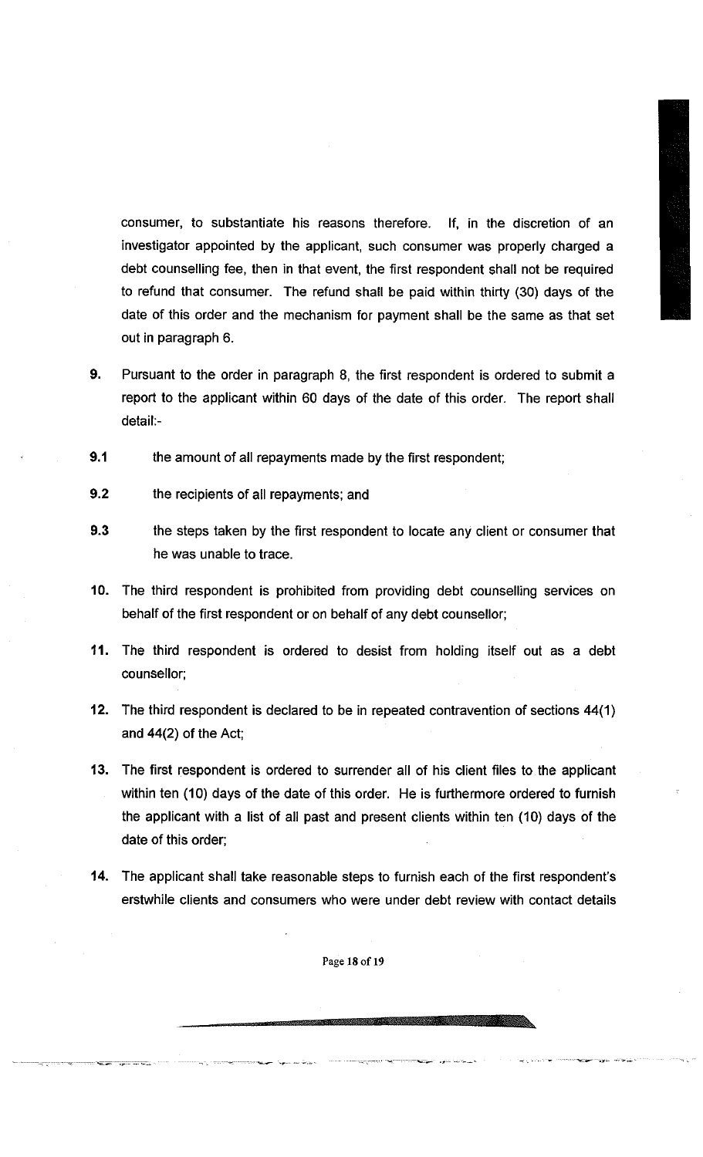consumer, to substantiate his reasons therefore. If, in the discretion of an investigator appointed by the applicant, such consumer was properly charged a debt counselling fee, then in that event, the first respondent shall not be required to refund that consumer. The refund shall be paid within thirty (30) days of the date of this order and the mechanism for payment shall be the same as that set out in paragraph 6.

- **9.** Pursuant to the order in paragraph 8, the first respondent is ordered to submit a report to the applicant within 60 days of the date of this order. The report shall detail:-
- **9.1** the amount of all repayments made by the first respondent;
- **9.2** the recipients of all repayments; and
- **9.3** the steps taken by the first respondent to locate any client or consumer that he was unable to trace.
- **10.** The third respondent is prohibited from providing debt counselling services on behalf of the first respondent or on behalf of any debt counsellor;
- **11.** The third respondent is ordered to desist from holding itself out as a debt counsellor;
- **12.** The third respondent is declared to be in repeated contravention of sections **44(1)**  and **44(2)** of the Act;
- **13.** The first respondent is ordered to surrender all of his client files to the applicant within ten (10) days of the date of this order. He is furthermore ordered to furnish the applicant with a list of all past and present clients within ten (10) days of the date of this order;
- **14.** The applicant shall take reasonable steps to furnish each of the first respondent's erstwhile clients and consumers who were under debt review with contact details

**Page 18 of 19**